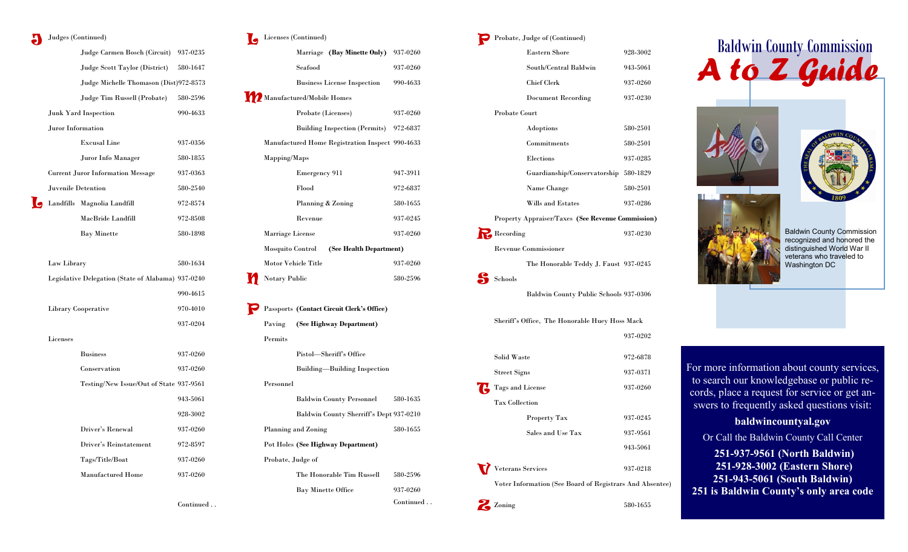### Judges (Continued)

|                    | Judge Carmen Bosch (Circuit)                       | 937-0235 |
|--------------------|----------------------------------------------------|----------|
|                    | Judge Scott Taylor (District)                      | 580-1647 |
|                    | Judge Michelle Thomason (Dist)972-8573             |          |
|                    | Judge Tim Russell (Probate)                        | 580-2596 |
|                    | <b>Junk Yard Inspection</b>                        | 990-4633 |
| Juror Information  |                                                    |          |
|                    | <b>Excusal Line</b>                                | 937-0356 |
|                    | Juror Info Manager                                 | 580-1855 |
|                    | <b>Current Juror Information Message</b>           | 937-0363 |
| Juvenile Detention |                                                    | 580-2540 |
|                    | Landfills Magnolia Landfill                        | 972-8574 |
|                    | MacBride Landfill                                  | 972-8508 |
|                    | <b>Bay Minette</b>                                 | 580-1898 |
|                    |                                                    |          |
| Law Library        |                                                    | 580-1634 |
|                    | Legislative Delegation (State of Alabama) 937-0240 |          |
|                    |                                                    | 990-4615 |
|                    | <b>Library Cooperative</b>                         | 970-4010 |
|                    |                                                    | 937-0204 |
| Licenses           |                                                    |          |
|                    | <b>Business</b>                                    | 937-0260 |
|                    | Conservation                                       | 937-0260 |
|                    | Testing/New Issue/Out of State 937-9561            |          |
|                    |                                                    | 943-5061 |
|                    |                                                    | 928-3002 |
|                    | Driver's Renewal                                   | 937-0260 |
|                    | Driver's Reinstatement                             | 972-8597 |
|                    | Tags/Title/Boat                                    | 937-0260 |
|                    | <b>Manufactured Home</b>                           | 937-0260 |
|                    |                                                    |          |
|                    |                                                    |          |

Continued . .

#### Licenses (Continued) L

| Marriage (Bay Minette Only)                     | 937-0260 |
|-------------------------------------------------|----------|
| Seafood                                         | 937-0260 |
| <b>Business License Inspection</b>              | 990-4633 |
| Manufactured/Mobile Homes                       |          |
| Probate (Licenses)                              | 937-0260 |
| Building Inspection (Permits) 972-6837          |          |
| Manufactured Home Registration Inspect 990-4633 |          |
| Mapping/Maps                                    |          |
| Emergency 911                                   | 947-3911 |
| Flood                                           | 972-6837 |
| Planning & Zoning                               | 580-1655 |
| Revenue                                         | 937-0245 |
| Marriage License                                | 937-0260 |
| Mosquito Control<br>(See Health Department)     |          |
| Motor Vehicle Title                             | 937-0260 |
| <b>Notary Public</b>                            | 580-2596 |

|                   | Passports (Contact Circuit Clerk's Office) |           |
|-------------------|--------------------------------------------|-----------|
|                   | Paving (See Highway Department)            |           |
| Permits           |                                            |           |
|                   | Pistol—Sheriff's Office                    |           |
|                   | <b>Building—Building Inspection</b>        |           |
| Personnel         |                                            |           |
|                   | Baldwin County Personnel                   | 580-1635  |
|                   | Baldwin County Sherriff's Dept 937-0210    |           |
|                   | Planning and Zoning                        | 580-1655  |
|                   | Pot Holes (See Highway Department)         |           |
| Probate, Judge of |                                            |           |
|                   | The Honorable Tim Russell                  | 580-2596  |
|                   | <b>Bay Minette Office</b>                  | 937-0260  |
|                   |                                            | Continued |

### **P** Probate, Judge of (Continued)

| <b>Eastern Shore</b>                                     | 928-3002 |  |
|----------------------------------------------------------|----------|--|
| South/Central Baldwin                                    | 943-5061 |  |
| <b>Chief Clerk</b>                                       | 937-0260 |  |
| <b>Document Recording</b>                                | 937-0230 |  |
| <b>Probate Court</b>                                     |          |  |
| Adoptions                                                | 580-2501 |  |
| Commitments                                              | 580-2501 |  |
| Elections                                                | 937-0285 |  |
| Guardianship/Conservatorship                             | 580-1829 |  |
| Name Change                                              | 580-2501 |  |
| Wills and Estates                                        | 937-0286 |  |
| <b>Property Appraiser/Taxes (See Revenue Commission)</b> |          |  |
| <b>Recording</b>                                         | 937-0230 |  |
| <b>Revenue Commissioner</b>                              |          |  |

The Honorable Teddy J. Faust 937-0245

Schools

Baldwin County Public Schools 937-0306

Sheriff's Office, The Honorable Huey Hoss Mack 937-0202 Solid Waste 972-6878 Street Signs 937-0371 Tags and License 937-0260 T Tax Collection Property Tax 937-0245 Sales and Use Tax 937-9561 943-5061

Veterans Services 937-0218

Voter Information (See Board of Registrars And Absentee)

580-1655

Zoning











For more information about county services, to search our knowledgebase or public records, place a request for service or get answers to frequently asked questions visit:

## **baldwincountyal.gov**

Or Call the Baldwin County Call Center

**251-937-9561 (North Baldwin) 251-928-3002 (Eastern Shore) 251-943-5061 (South Baldwin) 251 is Baldwin County's only area code**